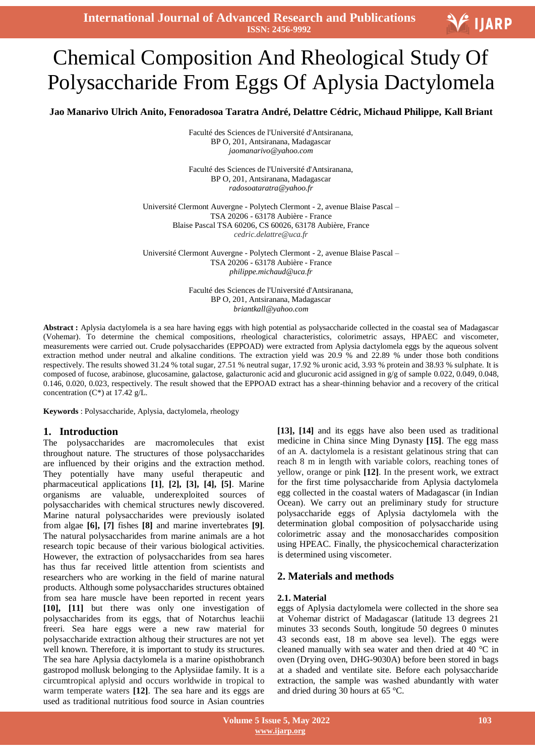**International Journal of Advanced Research and Publications ISSN: 2456-9992**

# **V**UARP

# $\overline{1}$ Chemical Composition And Rheological Study Of Polysaccharide From Eggs Of Aplysia Dactylomela

**Jao Manarivo Ulrich Anito, Fenoradosoa Taratra André, Delattre Cédric, Michaud Philippe, Kall Briant**

Faculté des Sciences de l'Université d'Antsiranana, BP O, 201, Antsiranana, Madagascar *jaomanarivo@yahoo.com*

Faculté des Sciences de l'Université d'Antsiranana, BP O, 201, Antsiranana, Madagascar *radosoataratra@yahoo.fr*

Université Clermont Auvergne - Polytech Clermont - 2, avenue Blaise Pascal – TSA 20206 - 63178 Aubière - France Blaise Pascal TSA 60206, CS 60026, 63178 Aubière, France *cedric.delattre@uca.fr*

Université Clermont Auvergne - Polytech Clermont - 2, avenue Blaise Pascal – TSA 20206 - 63178 Aubière - France *[philippe.michaud@uca.fr](mailto:philippe.michaud@uca.fr)*

> Faculté des Sciences de l'Université d'Antsiranana, BP O, 201, Antsiranana, Madagascar *briantkall@yahoo.com*

**Abstract :** Aplysia dactylomela is a sea hare having eggs with high potential as polysaccharide collected in the coastal sea of Madagascar (Vohemar). To determine the chemical compositions, rheological characteristics, colorimetric assays, HPAEC and viscometer, measurements were carried out. Crude polysaccharides (EPPOAD) were extracted from Aplysia dactylomela eggs by the aqueous solvent extraction method under neutral and alkaline conditions. The extraction yield was 20.9 % and 22.89 % under those both conditions respectively. The results showed 31.24 % total sugar, 27.51 % neutral sugar, 17.92 % uronic acid, 3.93 % protein and 38.93 % sulphate. It is composed of fucose, arabinose, glucosamine, galactose, galacturonic acid and glucuronic acid assigned in g/g of sample 0.022, 0.049, 0.048, 0.146, 0.020, 0.023, respectively. The result showed that the EPPOAD extract has a shear-thinning behavior and a recovery of the critical concentration  $(C^*)$  at 17.42 g/L.

**Keywords** : Polysaccharide, Aplysia, dactylomela, rheology

#### **1. Introduction**

The polysaccharides are macromolecules that exist throughout nature. The structures of those polysaccharides are influenced by their origins and the extraction method. They potentially have many useful therapeutic and pharmaceutical applications **[1]**, **[2], [3], [4], [5]**. Marine organisms are valuable, underexploited sources of polysaccharides with chemical structures newly discovered. Marine natural polysaccharides were previously isolated from algae **[6], [7]** fishes **[8]** and marine invertebrates **[9]**. The natural polysaccharides from marine animals are a hot research topic because of their various biological activities. However, the extraction of polysaccharides from sea hares has thus far received little attention from scientists and researchers who are working in the field of marine natural products. Although some polysaccharides structures obtained from sea hare muscle have been reported in recent years **[10], [11]** but there was only one investigation of polysaccharides from its eggs, that of Notarchus leachii freeri. Sea hare eggs were a new raw material for polysaccharide extraction althoug their structures are not yet well known. Therefore, it is important to study its structures. The sea hare Aplysia dactylomela is a marine opisthobranch gastropod mollusk belonging to the Aplysiidae family. It is a circumtropical aplysid and occurs worldwide in tropical to warm temperate waters **[12]**. The sea hare and its eggs are used as traditional nutritious food source in Asian countries

**[13], [14]** and its eggs have also been used as traditional medicine in China since Ming Dynasty **[15]**. The egg mass of an A. dactylomela is a resistant gelatinous string that can reach 8 m in length with variable colors, reaching tones of yellow, orange or pink **[12]**. In the present work, we extract for the first time polysaccharide from Aplysia dactylomela egg collected in the coastal waters of Madagascar (in Indian Ocean). We carry out an preliminary study for structure polysaccharide eggs of Aplysia dactylomela with the determination global composition of polysaccharide using colorimetric assay and the monosaccharides composition using HPEAC. Finally, the physicochemical characterization is determined using viscometer.

#### **2. Materials and methods**

#### **2.1. Material**

eggs of Aplysia dactylomela were collected in the shore sea at Vohemar district of Madagascar (latitude 13 degrees 21 minutes 33 seconds South, longitude 50 degrees 0 minutes 43 seconds east, 18 m above sea level). The eggs were cleaned manually with sea water and then dried at 40 °C in oven (Drying oven, DHG-9030A) before been stored in bags at a shaded and ventilate site. Before each polysaccharide extraction, the sample was washed abundantly with water and dried during 30 hours at 65 °C.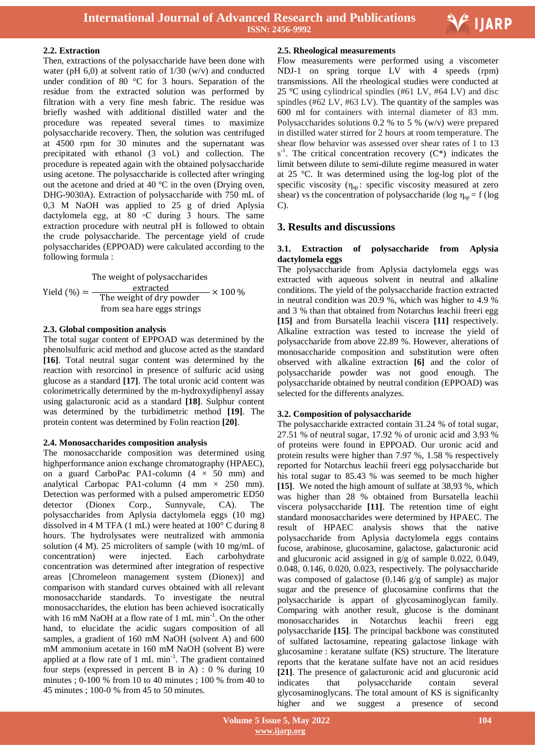

#### **2.2. Extraction**

Then, extractions of the polysaccharide have been done with water (pH  $6,0$ ) at solvent ratio of  $1/30$  (w/v) and conducted under condition of 80 °C for 3 hours. Separation of the residue from the extracted solution was performed by filtration with a very fine mesh fabric. The residue was briefly washed with additional distilled water and the procedure was repeated several times to maximize polysaccharide recovery. Then, the solution was centrifuged at 4500 rpm for 30 minutes and the supernatant was precipitated with ethanol (3 vol.) and collection. The procedure is repeated again with the obtained polysaccharide using acetone. The polysaccharide is collected after wringing out the acetone and dried at 40 °C in the oven (Drying oven, DHG-9030A). Extraction of polysaccharide with 750 mL of 0,3 M NaOH was applied to 25 g of dried Aplysia dactylomela egg, at  $80 \degree$ C during 3 hours. The same extraction procedure with neutral pH is followed to obtain the crude polysaccharide. The percentage yield of crude polysaccharides (EPPOAD) were calculated according to the following formula :

Yield  $(\% ) = -$ The weight of polysaccharides extracted The weight of dry powder from sea hare eggs strings  $- \times 100 \%$ 

#### **2.3. Global composition analysis**

The total sugar content of EPPOAD was determined by the phenolsulfuric acid method and glucose acted as the standard **[16]**. Total neutral sugar content was determined by the reaction with resorcinol in presence of sulfuric acid using glucose as a standard **[17]**. The total uronic acid content was colorimetrically determined by the m-hydroxydiphenyl assay using galacturonic acid as a standard **[18]**. Sulphur content was determined by the turbidimetric method **[19]**. The protein content was determined by Folin reaction **[20]**.

#### **2.4. Monosaccharides composition analysis**

The monosaccharide composition was determined using highperformance anion exchange chromatography (HPAEC), on a guard CarboPac PA1-column  $(4 \times 50$  mm) and analytical Carbopac PA1-column  $(4 \text{ mm} \times 250 \text{ mm})$ . Detection was performed with a pulsed amperometric ED50 detector (Dionex Corp., Sunnyvale, CA). The polysaccharides from Aplysia dactylomela eggs (10 mg) dissolved in 4 M TFA (1 mL) were heated at 100° C during 8 hours. The hydrolysates were neutralized with ammonia solution (4 M). 25 microliters of sample (with 10 mg/mL of concentration) were injected. Each carbohydrate concentration was determined after integration of respective areas [Chromeleon management system (Dionex)] and comparison with standard curves obtained with all relevant monosaccharide standards. To investigate the neutral monosaccharides, the elution has been achieved isocratically with 16 mM NaOH at a flow rate of 1 mL min<sup>-1</sup>. On the other hand, to elucidate the acidic sugars composition of all samples, a gradient of 160 mM NaOH (solvent A) and 600 mM ammonium acetate in 160 mM NaOH (solvent B) were applied at a flow rate of 1 mL min<sup>-1</sup>. The gradient contained four steps (expressed in percent B in A) : 0 % during 10 minutes ; 0-100 % from 10 to 40 minutes ; 100 % from 40 to 45 minutes ; 100-0 % from 45 to 50 minutes.

#### **2.5. Rheological measurements**

Flow measurements were performed using a viscometer NDJ-1 on spring torque LV with 4 speeds (rpm) transmissions. All the rheological studies were conducted at 25 °C using cylindrical spindles (#61 LV, #64 LV) and disc spindles (#62 LV, #63 LV). The quantity of the samples was 600 ml for containers with internal diameter of 83 mm. Polysaccharides solutions 0.2 % to 5 % (w/v) were prepared in distilled water stirred for 2 hours at room temperature. The shear flow behavior was assessed over shear rates of 1 to 13  $s<sup>-1</sup>$ . The critical concentration recovery (C\*) indicates the limit between dilute to semi-dilute regime measured in water at 25 °C. It was determined using the log-log plot of the specific viscosity ( $\eta_{sp}$ : specific viscosity measured at zero shear) vs the concentration of polysaccharide (log  $\eta_{sp} = f$  (log C).

### **3. Results and discussions**

#### **3.1. Extraction of polysaccharide from Aplysia dactylomela eggs**

The polysaccharide from Aplysia dactylomela eggs was extracted with aqueous solvent in neutral and alkaline conditions. The yield of the polysaccharide fraction extracted in neutral condition was 20.9 %, which was higher to 4.9 % and 3 % than that obtained from Notarchus leachii freeri egg **[15]** and from Bursatella leachii viscera **[11]** respectively. Alkaline extraction was tested to increase the yield of polysaccharide from above 22.89 %. However, alterations of monosaccharide composition and substitution were often observed with alkaline extraction **[6]** and the color of polysaccharide powder was not good enough. The polysaccharide obtained by neutral condition (EPPOAD) was selected for the differents analyzes.

#### **3.2. Composition of polysaccharide**

The polysaccharide extracted contain 31.24 % of total sugar, 27.51 % of neutral sugar, 17.92 % of uronic acid and 3.93 % of proteins were found in EPPOAD. Our uronic acid and protein results were higher than 7.97 %, 1.58 % respectively reported for Notarchus leachii freeri egg polysaccharide but his total sugar to 85.43 % was seemed to be much higher **[15]**. We noted the high amount of sulfate at 38,93 %, which was higher than 28 % obtained from Bursatella leachii viscera polysaccharide **[11]**. The retention time of eight standard monosaccharides were determined by HPAEC. The result of HPAEC analysis shows that the native polysaccharide from Aplysia dactylomela eggs contains fucose, arabinose, glucosamine, galactose, galacturonic acid and glucuronic acid assigned in g/g of sample 0.022, 0.049, 0.048, 0.146, 0.020, 0.023, respectively. The polysaccharide was composed of galactose (0.146 g/g of sample) as major sugar and the presence of glucosamine confirms that the polysaccharide is appart of glycosaminoglycan family. Comparing with another result, glucose is the dominant monosaccharides in Notarchus leachii freeri egg polysaccharide **[15]**. The principal backbone was constituted of sulfated lactosamine, repeating galactose linkage with glucosamine : keratane sulfate (KS) structure. The literature reports that the keratane sulfate have not an acid residues **[21]**. The presence of galacturonic acid and glucuronic acid indicates that polysaccharide contain several glycosaminoglycans. The total amount of KS is significanlty higher and we suggest a presence of second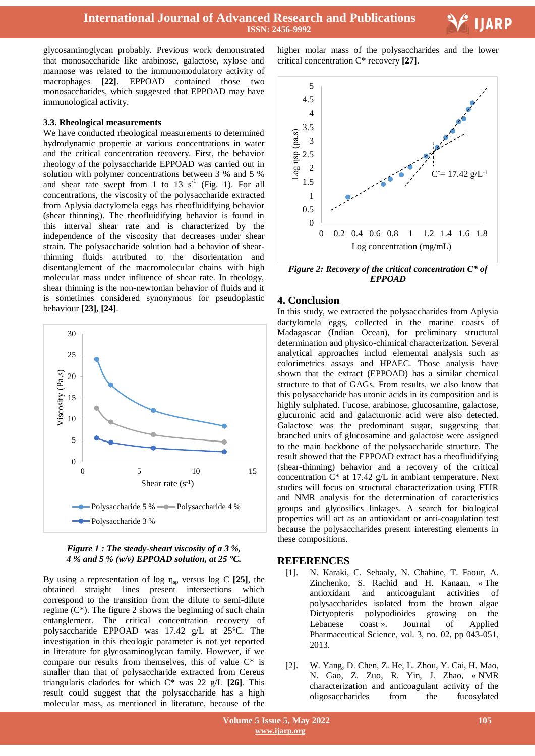**International Journal of Advanced Research and Publications ISSN: 2456-9992**



glycosaminoglycan probably. Previous work demonstrated that monosaccharide like arabinose, galactose, xylose and mannose was related to the immunomodulatory activity of macrophages **[22]**. EPPOAD contained those two monosaccharides, which suggested that EPPOAD may have immunological activity.

#### **3.3. Rheological measurements**

We have conducted rheological measurements to determined hydrodynamic propertie at various concentrations in water and the critical concentration recovery. First, the behavior rheology of the polysaccharide EPPOAD was carried out in solution with polymer concentrations between 3 % and 5 % and shear rate swept from 1 to 13  $s^{-1}$  (Fig. 1). For all concentrations, the viscosity of the polysaccharide extracted from Aplysia dactylomela eggs has rheofluidifying behavior (shear thinning). The rheofluidifying behavior is found in this interval shear rate and is characterized by the independence of the viscosity that decreases under shear strain. The polysaccharide solution had a behavior of shearthinning fluids attributed to the disorientation and disentanglement of the macromolecular chains with high molecular mass under influence of shear rate. In rheology, shear thinning is the non-newtonian behavior of fluids and it is sometimes considered synonymous for pseudoplastic behaviour **[23], [24]**.



#### *Figure 1 : The steady-sheart viscosity of a 3 %, 4 % and 5 % (w/v) EPPOAD solution, at 25 °C.*

By using a representation of log ηsp versus log C **[25]**, the obtained straight lines present intersections which correspond to the transition from the dilute to semi-dilute regime  $(C^*)$ . The figure 2 shows the beginning of such chain entanglement. The critical concentration recovery of polysaccharide EPPOAD was 17.42 g/L at 25°C. The investigation in this rheologic parameter is not yet reported in literature for glycosaminoglycan family. However, if we compare our results from themselves, this of value C\* is smaller than that of polysaccharide extracted from Cereus triangularis cladodes for which C\* was 22 g/L **[26]**. This result could suggest that the polysaccharide has a high molecular mass, as mentioned in literature, because of the

 higher molar mass of the polysaccharides and the lower critical concentration C\* recovery **[27]**.



*Figure 2: Recovery of the critical concentration C\* of EPPOAD*

#### **4. Conclusion**

In this study, we extracted the polysaccharides from Aplysia dactylomela eggs, collected in the marine coasts of Madagascar (Indian Ocean), for preliminary structural determination and physico-chimical characterization. Several analytical approaches includ elemental analysis such as colorimetrics assays and HPAEC. Those analysis have shown that the extract (EPPOAD) has a similar chemical structure to that of GAGs. From results, we also know that this polysaccharide has uronic acids in its composition and is highly sulphated. Fucose, arabinose, glucosamine, galactose, glucuronic acid and galacturonic acid were also detected. Galactose was the predominant sugar, suggesting that branched units of glucosamine and galactose were assigned to the main backbone of the polysaccharide structure. The result showed that the EPPOAD extract has a rheofluidifying (shear-thinning) behavior and a recovery of the critical concentration  $C^*$  at 17.42 g/L in ambiant temperature. Next studies will focus on structural characterization using FTIR and NMR analysis for the determination of caracteristics groups and glycosilics linkages. A search for biological properties will act as an antioxidant or anti-coagulation test because the polysaccharides present interesting elements in these compositions.

#### **REFERENCES**

- [1]. N. Karaki, C. Sebaaly, N. Chahine, T. Faour, A. Zinchenko, S. Rachid and H. Kanaan, « The antioxidant and anticoagulant activities of polysaccharides isolated from the brown algae Dictyopteris polypodioides growing on the Lebanese coast ». Journal of Applied Pharmaceutical Science, vol. 3, no. 02, pp 043-051, 2013.
- [2]. W. Yang, D. Chen, Z. He, L. Zhou, Y. Cai, H. Mao, N. Gao, Z. Zuo, R. Yin, J. Zhao, « NMR characterization and anticoagulant activity of the oligosaccharides from the fucosylated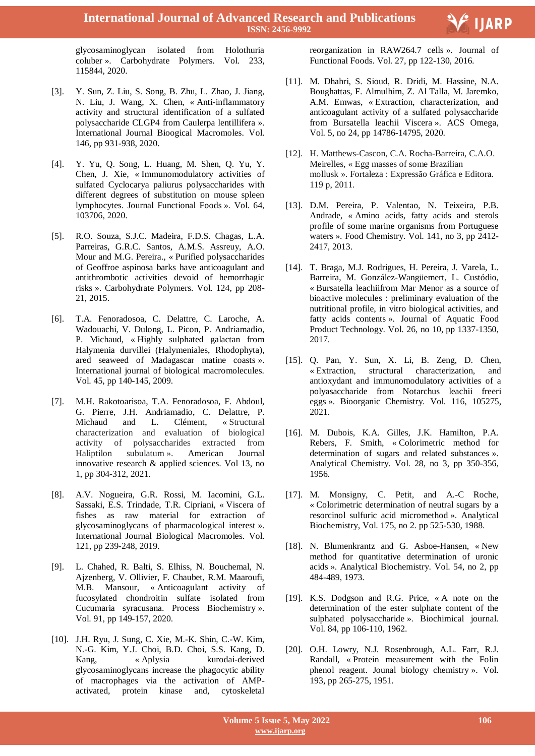

glycosaminoglycan isolated from Holothuria coluber ». Carbohydrate Polymers. Vol. 233, 115844, 2020.

- [3]. Y. Sun, Z. Liu, S. Song, B. Zhu, L. Zhao, J. Jiang, N. Liu, J. Wang, X. Chen, « Anti-inflammatory activity and structural identification of a sulfated polysaccharide CLGP4 from Caulerpa lentillifera ». International Journal Bioogical Macromoles. Vol. 146, pp 931-938, 2020.
- [4]. Y. Yu, Q. Song, L. Huang, M. Shen, Q. Yu, Y. Chen, J. Xie, « Immunomodulatory activities of sulfated Cyclocarya paliurus polysaccharides with different degrees of substitution on mouse spleen lymphocytes. Journal Functional Foods ». Vol. 64, 103706, 2020.
- [5]. R.O. Souza, S.J.C. Madeira, F.D.S. Chagas, L.A. Parreiras, G.R.C. Santos, A.M.S. Assreuy, A.O. Mour and M.G. Pereira., « Purified polysaccharides of Geoffroe aspinosa barks have anticoagulant and antithrombotic activities devoid of hemorrhagic risks ». Carbohydrate Polymers. Vol. 124, pp 208- 21, 2015.
- [6]. T.A. Fenoradosoa, C. Delattre, C. Laroche, A. Wadouachi, V. Dulong, L. Picon, P. Andriamadio, P. Michaud, « Highly sulphated galactan from Halymenia durvillei (Halymeniales, Rhodophyta), ared seaweed of Madagascar matine coasts ». International journal of biological macromolecules. Vol. 45, pp 140-145, 2009.
- [7]. M.H. Rakotoarisoa, T.A. Fenoradosoa, F. Abdoul, G. Pierre, J.H. Andriamadio, C. Delattre, P. Michaud and L. Clément, « Structural characterization and evaluation of biological activity of polysaccharides extracted from Haliptilon subulatum ». American Journal innovative research & applied sciences. Vol 13, no 1, pp 304-312, 2021.
- [8]. A.V. Nogueira, G.R. Rossi, M. Iacomini, G.L. Sassaki, E.S. Trindade, T.R. Cipriani, « Viscera of fishes as raw material for extraction of glycosaminoglycans of pharmacological interest ». International Journal Biological Macromoles. Vol. 121, pp 239-248, 2019.
- [9]. L. Chahed, R. Balti, S. Elhiss, N. Bouchemal, N. Ajzenberg, V. Ollivier, F. Chaubet, R.M. Maaroufi, M.B. Mansour, « Anticoagulant activity of fucosylated chondroitin sulfate isolated from Cucumaria syracusana. Process Biochemistry ». Vol. 91, pp 149-157, 2020.
- [10]. J.H. Ryu, J. Sung, C. Xie, M.-K. Shin, C.-W. Kim, N.-G. Kim, Y.J. Choi, B.D. Choi, S.S. Kang, D. Kang, « Aplysia kurodai-derived glycosaminoglycans increase the phagocytic ability of macrophages via the activation of AMPactivated, protein kinase and, cytoskeletal

 reorganization in RAW264.7 cells ». Journal of Functional Foods. Vol. 27, pp 122-130, 2016.

- [11]. M. Dhahri, S. Sioud, R. Dridi, M. Hassine, N.A. Boughattas, F. Almulhim, Z. Al Talla, M. Jaremko, A.M. Emwas, « Extraction, characterization, and anticoagulant activity of a sulfated polysaccharide from Bursatella leachii Viscera ». ACS Omega, Vol. 5, no 24, pp 14786-14795, 2020.
- [12]. H. Matthews-Cascon, C.A. Rocha-Barreira, C.A.O. Meirelles, « Egg masses of some Brazilian mollusk ». Fortaleza : Expressão Gráfica e Editora. 119 p, 2011.
- [13]. D.M. Pereira, P. Valentao, N. Teixeira, P.B. Andrade, « Amino acids, fatty acids and sterols profile of some marine organisms from Portuguese waters ». Food Chemistry. Vol. 141, no 3, pp 2412- 2417, 2013.
- [14]. T. Braga, M.J. Rodrigues, H. Pereira, J. Varela, L. Barreira, M. González-Wangüemert, L. Custódio, « Bursatella leachiifrom Mar Menor as a source of bioactive molecules : preliminary evaluation of the nutritional profile, in vitro biological activities, and fatty acids contents ». Journal of Aquatic Food Product Technology. Vol. 26, no 10, pp 1337-1350, 2017.
- [15]. Q. Pan, Y. Sun, X. Li, B. Zeng, D. Chen, « Extraction, structural characterization, and antioxydant and immunomodulatory activities of a polyasaccharide from Notarchus leachii freeri eggs ». Bioorganic Chemistry. Vol. 116, 105275, 2021.
- [16]. M. Dubois, K.A. Gilles, J.K. Hamilton, P.A. Rebers, F. Smith, « Colorimetric method for determination of sugars and related substances ». Analytical Chemistry. Vol. 28, no 3, pp 350-356, 1956.
- [17]. M. Monsigny, C. Petit, and A.-C Roche, « Colorimetric determination of neutral sugars by a resorcinol sulfuric acid micromethod ». Analytical Biochemistry, Vol. 175, no 2. pp 525-530, 1988.
- [18]. N. Blumenkrantz and G. Asboe-Hansen, « New method for quantitative determination of uronic acids ». Analytical Biochemistry. Vol. 54, no 2, pp 484-489, 1973.
- [19]. K.S. Dodgson and R.G. Price, « A note on the determination of the ester sulphate content of the sulphated polysaccharide ». Biochimical journal. Vol. 84, pp 106-110, 1962.
- [20]. O.H. Lowry, N.J. Rosenbrough, A.L. Farr, R.J. Randall, « Protein measurement with the Folin phenol reagent. Jounal biology chemistry ». Vol. 193, pp 265-275, 1951.